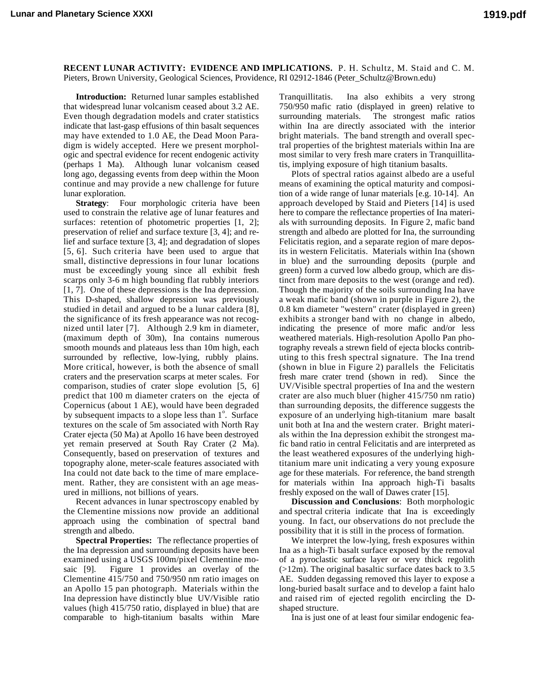**RECENT LUNAR ACTIVITY: EVIDENCE AND IMPLICATIONS.** P. H. Schultz, M. Staid and C. M. Pieters, Brown University, Geological Sciences, Providence, RI 02912-1846 (Peter\_Schultz@Brown.edu)

**Introduction:** Returned lunar samples established that widespread lunar volcanism ceased about 3.2 AE. Even though degradation models and crater statistics indicate that last-gasp effusions of thin basalt sequences may have extended to 1.0 AE, the Dead Moon Paradigm is widely accepted. Here we present morphologic and spectral evidence for recent endogenic activity (perhaps 1 Ma). Although lunar volcanism ceased long ago, degassing events from deep within the Moon continue and may provide a new challenge for future lunar exploration.

**Strategy**: Four morphologic criteria have been used to constrain the relative age of lunar features and surfaces: retention of photometric properties [1, 2]; preservation of relief and surface texture [3, 4]; and relief and surface texture [3, 4]; and degradation of slopes [5, 6]. Such criteria have been used to argue that small, distinctive depressions in four lunar locations must be exceedingly young since all exhibit fresh scarps only 3-6 m high bounding flat rubbly interiors [1, 7]. One of these depressions is the Ina depression. This D-shaped, shallow depression was previously studied in detail and argued to be a lunar caldera [8], the significance of its fresh appearance was not recognized until later [7]. Although 2.9 km in diameter, (maximum depth of 30m), Ina contains numerous smooth mounds and plateaus less than 10m high, each surrounded by reflective, low-lying, rubbly plains. More critical, however, is both the absence of small craters and the preservation scarps at meter scales. For comparison, studies of crater slope evolution [5, 6] predict that 100 m diameter craters on the ejecta of Copernicus (about 1 AE), would have been degraded by subsequent impacts to a slope less than  $1^\circ$ . Surface textures on the scale of 5m associated with North Ray Crater ejecta (50 Ma) at Apollo 16 have been destroyed yet remain preserved at South Ray Crater (2 Ma). Consequently, based on preservation of textures and topography alone, meter-scale features associated with Ina could not date back to the time of mare emplacement. Rather, they are consistent with an age measured in millions, not billions of years.

Recent advances in lunar spectroscopy enabled by the Clementine missions now provide an additional approach using the combination of spectral band strength and albedo.

**Spectral Properties:** The reflectance properties of the Ina depression and surrounding deposits have been examined using a USGS 100m/pixel Clementine mosaic [9]. Figure 1 provides an overlay of the Clementine 415/750 and 750/950 nm ratio images on an Apollo 15 pan photograph. Materials within the Ina depression have distinctly blue UV/Visible ratio values (high 415/750 ratio, displayed in blue) that are comparable to high-titanium basalts within Mare Tranquillitatis. Ina also exhibits a very strong 750/950 mafic ratio (displayed in green) relative to surrounding materials. The strongest mafic ratios within Ina are directly associated with the interior bright materials. The band strength and overall spectral properties of the brightest materials within Ina are most similar to very fresh mare craters in Tranquillitatis, implying exposure of high titanium basalts.

Plots of spectral ratios against albedo are a useful means of examining the optical maturity and composition of a wide range of lunar materials [e.g. 10-14]. An approach developed by Staid and Pieters [14] is used here to compare the reflectance properties of Ina materials with surrounding deposits. In Figure 2, mafic band strength and albedo are plotted for Ina, the surrounding Felicitatis region, and a separate region of mare deposits in western Felicitatis. Materials within Ina (shown in blue) and the surrounding deposits (purple and green) form a curved low albedo group, which are distinct from mare deposits to the west (orange and red). Though the majority of the soils surrounding Ina have a weak mafic band (shown in purple in Figure 2), the 0.8 km diameter "western" crater (displayed in green) exhibits a stronger band with no change in albedo, indicating the presence of more mafic and/or less weathered materials. High-resolution Apollo Pan photography reveals a strewn field of ejecta blocks contributing to this fresh spectral signature. The Ina trend (shown in blue in Figure 2) parallels the Felicitatis fresh mare crater trend (shown in red). Since the UV/Visible spectral properties of Ina and the western crater are also much bluer (higher 415/750 nm ratio) than surrounding deposits, the difference suggests the exposure of an underlying high-titanium mare basalt unit both at Ina and the western crater. Bright materials within the Ina depression exhibit the strongest mafic band ratio in central Felicitatis and are interpreted as the least weathered exposures of the underlying hightitanium mare unit indicating a very young exposure age for these materials. For reference, the band strength for materials within Ina approach high-Ti basalts freshly exposed on the wall of Dawes crater [15].

**Discussion and Conclusions**: Both morphologic and spectral criteria indicate that Ina is exceedingly young. In fact, our observations do not preclude the possibility that it is still in the process of formation.

We interpret the low-lying, fresh exposures within Ina as a high-Ti basalt surface exposed by the removal of a pyroclastic surface layer or very thick regolith  $(>12m)$ . The original basaltic surface dates back to 3.5 AE. Sudden degassing removed this layer to expose a long-buried basalt surface and to develop a faint halo and raised rim of ejected regolith encircling the Dshaped structure.

Ina is just one of at least four similar endogenic fea-